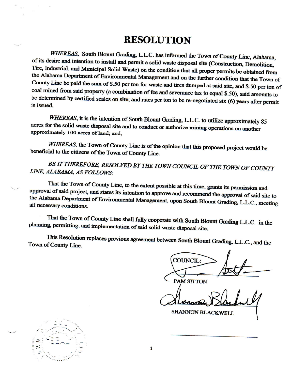## **RESOLUTION**

WHEREAS, South Blount Grading, L.L.C. has informed the Town of County Line, Alabama, of its desire and intention to install and permit a solid waste disposal site (Construction, Demolition, Tire, Industrial, and Municipal Solid Waste) on the condition that all proper permits be obtained from the Alabama Department of Environmental Management and on the further condition that the Town of County Line be paid the sum of \$.50 per ton for waste and tires dumped at said site, and \$.50 per ton of coal mined from said property (a combination of fee and severance tax to equal \$.50), said amounts to be determined by certified scales on site; and rates per ton to be re-negotiated six (6) years after permit is issued.

WHEREAS, it is the intention of South Blount Grading, L.L.C. to utilize approximately 85 acres for the solid waste disposal site and to conduct or authorize mining operations on another approximately 100 acres of land; and,

WHEREAS, the Town of County Line is of the opinion that this proposed project would be beneficial to the citizens of the Town of County Line.

BE IT THEREFORE, RESOLVED BY THE TOWN COUNCIL OF THE TOWN OF COUNTY LINE, ALABAMA, AS FOLLOWS:

That the Town of County Line, to the extent possible at this time, grants its permission and approval of said project, and states its intention to approve and recommend the approval of said site to the Alabama Department of Environmental Management, upon South Blount Grading, L.L.C., meeting all necessary conditions.

That the Town of County Line shall fully cooperate with South Blount Grading L.L.C. in the planning, permitting, and implementation of said solid waste disposal site.

This Resolution replaces previous agreement between South Blount Grading, L.L.C., and the Town of County Line.

**COUNCIL:** 

**PAM SITTON** 

SHANNON BLACKWELL